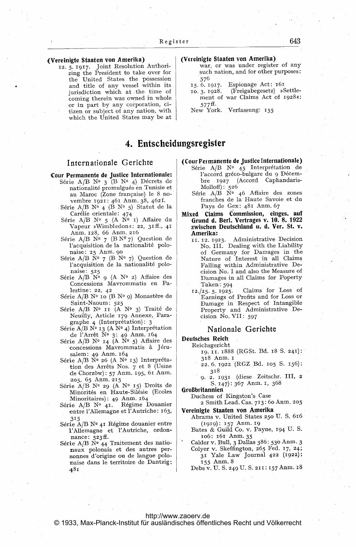### (Vereinigte Staaten von Amerika)

12. 5. 1917. Joint Resolution Authorizing the President to take over for the United States the possession and title of any vessel within its jurisdiction which at the time of coming therein was owned in whole or in part by any corporation, citizen or subject of any nation, with which the United States may be at

4. Entscheiduppregister

## Internationale Gerichte

# **Cour Permanente de Justice Internationale:**<br>Série A/B N° 3 (B N° 4) Décrets de

- nationalité promulgués en Tunisie et au Maroc (Zone française) le 8 novembre 1921: 461 Anm. 38, 462f.
	- Série A/B Nº 4 (B Nº 5) Statut de la Car6lie orientale: 474
	- Série A/B Nº 5 (A Nº 1) Affaire du Vapeur »Wimbledon«: 22, 31ff., 41 Anm. 128, 66 Anm. 216
	- Série A/B N°  $7$  (B N° 7) Question de l'acquisition de la nationalité polonaise: 25 Anm. 90
	- Série A/B  $\tilde{N}^0$  7 (B  $\tilde{N}^0$  7) Question de l'acquisition de la nationalité polo-
	- naise: 525 S6rie A/B No 9 (A No 2) Affaire des Concessions Mavrommatis en Palestine: 22, 42
	- Série A/B N° 10 (B N° 9) Monastère de Saint-Naoum: 525<br>Série A/B N° 11 (A N° 3) Traité de
	- Neuilly, Article 179 Annexe, Para-
	- graphe 4 (Interprétation): 3<br>Série A/B N° 13 (A N° 4) Interprétation de l'Arrêt Nº 3: 49 Anm. 164
	- Série A/B Nº 14 (A Nº 5) Affaire des concessions Mavrommatis à Jérusalem: 49 Anm. 164
	- Série  $A/B$  N° 26 (A N° 13) Interprétation des Arr&ts Nos. 7 et <sup>8</sup> (Usine de Chorz6w): <sup>57</sup> Amn, 195, <sup>61</sup> Anm.  $205, 65$  Anm. 215
	- Série  $A/B$  N° 29 (A N° 15) Droits de Minorit6s en Haute-Sil6sie (Ecoles  $Minoritaires$ : 49 Anm. 164
	- Série A/B Nº 41. Régime Douanier entre l'Allemagne et l'Autriche: 163, 315
	- Série A/B Nº 41 Régime douanier entre I'Allemagne et I'Autriche, ordonnance: 523ff.
	- Série A/B  $\bar{N}^0$  44 Traitement des nationaux polonais et des autres personnes d'origine ou de langue polonaise dans le territoire de Dantzig: 481

### (Vereinigte Staaten von Amerika)

- war, or was under register of any such nation, and for other purposes: 576
- 15. 6. 1917. Espionage Act: 161
- 10.3.1928. (Freigabegesetz) »Settlement of war Claims Act of 1928«: 577ff.
- New York. Verfassung: 155

- (Cour Fetmanente de justice Internationale) Série A/B Nº 45 Interprétation de l'accord gréco-bulgare du 9 Décembre 1927 (Accord Caphandaris- $Molhoff): 526$ 
	- Série  $A/B$  N° 46 Affaire des zones franches de la Haute Savoie.et du Pays de Gex: 481 Anm. 67
- Mixed Claims Commission, einges. auf Grund d. Berl. Vertrages v. 10. 8. 1922 zwischen Deutschland u. d. Ver. St. v. Amerika:
	- 11. 12. 1923. Administrative Decision No. III. Dealing with the Liability of Germany for Damages in the Nature of Interest in all Claims Falling within Administrative Decision No. <sup>I</sup> and also the Measure of Damages in all Claims for Poperty Taken:594
	- 12./25-5. 1925. Claims for Loss of Earnings of Profits and for Loss or Damage in Respect of Intangible Property and Administrative Decision No. VII: 597

### Nationale Gerichte

- Deutsches Reich
	- Reichsgericht 19. 11. 1888 (RGSt. Bd. 18 S. 241 318 Anm. I
		- 22. 6.1922 (RGZ Bd. io5 S. 156): 3i8
		- 9.2 1931 (diese Zeitschr. 111, <sup>2</sup> S. 147): 367 Anm. 1, 368

GroBbritannien

Duchess of Kingston's Case

<sup>2</sup> Smith Lead. Cas- 713: 6o Anm. 205 Vereinigte Staaten von Amerika

- Abrams v. United States 250 U. S. 616 (1919): <sup>157</sup> Amn. ig
- Bates & Guild Co. v. Payne, 194 U. S 106: 161 Anm. 35
- Calder v. Bull, <sup>3</sup> Dallas 386: 53o Anm. <sup>3</sup> Colyer v. Skeffington, 265 Fed. 17, 24; <sup>31</sup> Yale Law journal <sup>422</sup> (1922): -155 Anm. <sup>8</sup>

Debs v. U. S. 249 U. S. 211: 157 Anm. 18

### <http://www.zaoerv.de>

© 1933, Max-Planck-Institut für ausländisches öffentliches Recht und Völkerrecht